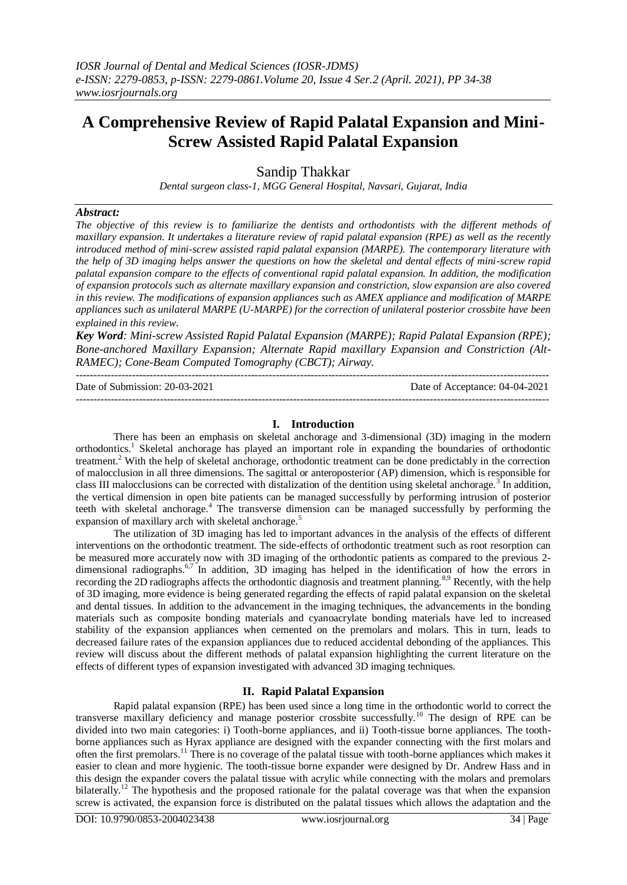# **A Comprehensive Review of Rapid Palatal Expansion and Mini-Screw Assisted Rapid Palatal Expansion**

Sandip Thakkar

*Dental surgeon class-1, MGG General Hospital, Navsari, Gujarat, India*

#### *Abstract:*

*The objective of this review is to familiarize the dentists and orthodontists with the different methods of maxillary expansion. It undertakes a literature review of rapid palatal expansion (RPE) as well as the recently introduced method of mini-screw assisted rapid palatal expansion (MARPE). The contemporary literature with the help of 3D imaging helps answer the questions on how the skeletal and dental effects of mini-screw rapid palatal expansion compare to the effects of conventional rapid palatal expansion. In addition, the modification of expansion protocols such as alternate maxillary expansion and constriction, slow expansion are also covered in this review. The modifications of expansion appliances such as AMEX appliance and modification of MARPE appliances such as unilateral MARPE (U-MARPE) for the correction of unilateral posterior crossbite have been explained in this review*.

*Key Word: Mini-screw Assisted Rapid Palatal Expansion (MARPE); Rapid Palatal Expansion (RPE); Bone-anchored Maxillary Expansion; Alternate Rapid maxillary Expansion and Constriction (Alt-RAMEC); Cone-Beam Computed Tomography (CBCT); Airway.*

---------------------------------------------------------------------------------------------------------------------------------------

---------------------------------------------------------------------------------------------------------------------------------------

Date of Submission: 20-03-2021 Date of Acceptance: 04-04-2021

#### **I. Introduction**

There has been an emphasis on skeletal anchorage and 3-dimensional (3D) imaging in the modern orthodontics.<sup>1</sup> Skeletal anchorage has played an important role in expanding the boundaries of orthodontic treatment.<sup>2</sup> With the help of skeletal anchorage, orthodontic treatment can be done predictably in the correction of malocclusion in all three dimensions. The sagittal or anteroposterior (AP) dimension, which is responsible for class III malocclusions can be corrected with distalization of the dentition using skeletal anchorage.<sup>3</sup> In addition, the vertical dimension in open bite patients can be managed successfully by performing intrusion of posterior teeth with skeletal anchorage.<sup>4</sup> The transverse dimension can be managed successfully by performing the expansion of maxillary arch with skeletal anchorage.<sup>5</sup>

The utilization of 3D imaging has led to important advances in the analysis of the effects of different interventions on the orthodontic treatment. The side-effects of orthodontic treatment such as root resorption can be measured more accurately now with 3D imaging of the orthodontic patients as compared to the previous 2 dimensional radiographs.<sup>6,7</sup> In addition, 3D imaging has helped in the identification of how the errors in recording the 2D radiographs affects the orthodontic diagnosis and treatment planning.<sup>8,9</sup> Recently, with the help of 3D imaging, more evidence is being generated regarding the effects of rapid palatal expansion on the skeletal and dental tissues. In addition to the advancement in the imaging techniques, the advancements in the bonding materials such as composite bonding materials and cyanoacrylate bonding materials have led to increased stability of the expansion appliances when cemented on the premolars and molars. This in turn, leads to decreased failure rates of the expansion appliances due to reduced accidental debonding of the appliances. This review will discuss about the different methods of palatal expansion highlighting the current literature on the effects of different types of expansion investigated with advanced 3D imaging techniques.

#### **II. Rapid Palatal Expansion**

Rapid palatal expansion (RPE) has been used since a long time in the orthodontic world to correct the transverse maxillary deficiency and manage posterior crossbite successfully.<sup>10</sup> The design of RPE can be divided into two main categories: i) Tooth-borne appliances, and ii) Tooth-tissue borne appliances. The toothborne appliances such as Hyrax appliance are designed with the expander connecting with the first molars and often the first premolars.<sup>11</sup> There is no coverage of the palatal tissue with tooth-borne appliances which makes it easier to clean and more hygienic. The tooth-tissue borne expander were designed by Dr. Andrew Hass and in this design the expander covers the palatal tissue with acrylic while connecting with the molars and premolars bilaterally.<sup>12</sup> The hypothesis and the proposed rationale for the palatal coverage was that when the expansion screw is activated, the expansion force is distributed on the palatal tissues which allows the adaptation and the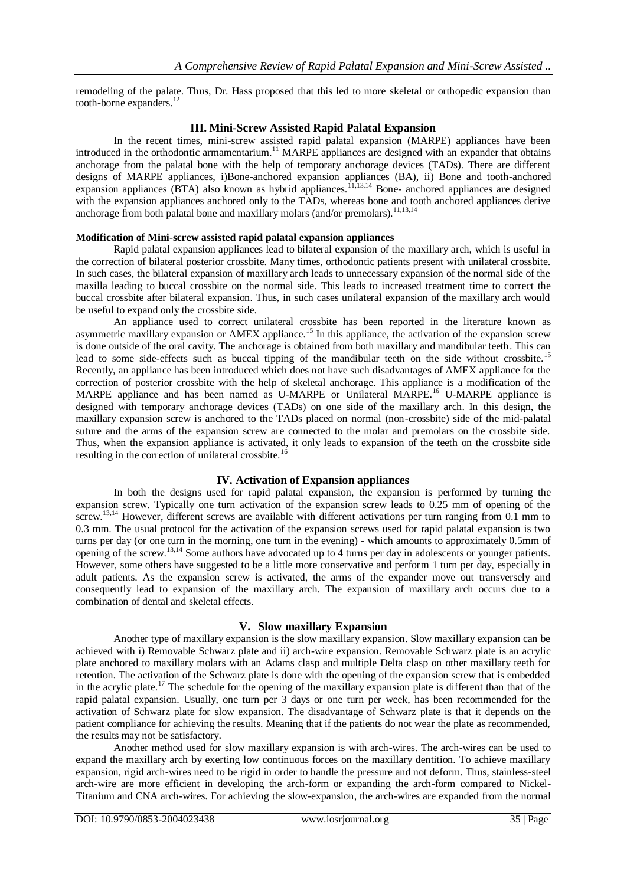remodeling of the palate. Thus, Dr. Hass proposed that this led to more skeletal or orthopedic expansion than tooth-borne expanders. $^{12}$ 

## **III. Mini-Screw Assisted Rapid Palatal Expansion**

In the recent times, mini-screw assisted rapid palatal expansion (MARPE) appliances have been introduced in the orthodontic armamentarium.<sup>11</sup> MARPE appliances are designed with an expander that obtains anchorage from the palatal bone with the help of temporary anchorage devices (TADs). There are different designs of MARPE appliances, i)Bone-anchored expansion appliances (BA), ii) Bone and tooth-anchored expansion appliances (BTA) also known as hybrid appliances.<sup>11,13,14</sup> Bone- anchored appliances are designed with the expansion appliances anchored only to the TADs, whereas bone and tooth anchored appliances derive anchorage from both palatal bone and maxillary molars (and/or premolars).<sup>11,13,14</sup>

## **Modification of Mini-screw assisted rapid palatal expansion appliances**

Rapid palatal expansion appliances lead to bilateral expansion of the maxillary arch, which is useful in the correction of bilateral posterior crossbite. Many times, orthodontic patients present with unilateral crossbite. In such cases, the bilateral expansion of maxillary arch leads to unnecessary expansion of the normal side of the maxilla leading to buccal crossbite on the normal side. This leads to increased treatment time to correct the buccal crossbite after bilateral expansion. Thus, in such cases unilateral expansion of the maxillary arch would be useful to expand only the crossbite side.

An appliance used to correct unilateral crossbite has been reported in the literature known as asymmetric maxillary expansion or AMEX appliance.<sup>15</sup> In this appliance, the activation of the expansion screw is done outside of the oral cavity. The anchorage is obtained from both maxillary and mandibular teeth. This can lead to some side-effects such as buccal tipping of the mandibular teeth on the side without crossbite.<sup>15</sup> Recently, an appliance has been introduced which does not have such disadvantages of AMEX appliance for the correction of posterior crossbite with the help of skeletal anchorage. This appliance is a modification of the MARPE appliance and has been named as U-MARPE or Unilateral MARPE.<sup>16</sup> U-MARPE appliance is designed with temporary anchorage devices (TADs) on one side of the maxillary arch. In this design, the maxillary expansion screw is anchored to the TADs placed on normal (non-crossbite) side of the mid-palatal suture and the arms of the expansion screw are connected to the molar and premolars on the crossbite side. Thus, when the expansion appliance is activated, it only leads to expansion of the teeth on the crossbite side resulting in the correction of unilateral crossbite.<sup>1</sup>

## **IV. Activation of Expansion appliances**

In both the designs used for rapid palatal expansion, the expansion is performed by turning the expansion screw. Typically one turn activation of the expansion screw leads to 0.25 mm of opening of the screw.<sup>13,14</sup> However, different screws are available with different activations per turn ranging from 0.1 mm to 0.3 mm. The usual protocol for the activation of the expansion screws used for rapid palatal expansion is two turns per day (or one turn in the morning, one turn in the evening) - which amounts to approximately 0.5mm of opening of the screw.<sup>13,14</sup> Some authors have advocated up to 4 turns per day in adolescents or younger patients. However, some others have suggested to be a little more conservative and perform 1 turn per day, especially in adult patients. As the expansion screw is activated, the arms of the expander move out transversely and consequently lead to expansion of the maxillary arch. The expansion of maxillary arch occurs due to a combination of dental and skeletal effects.

## **V. Slow maxillary Expansion**

Another type of maxillary expansion is the slow maxillary expansion. Slow maxillary expansion can be achieved with i) Removable Schwarz plate and ii) arch-wire expansion. Removable Schwarz plate is an acrylic plate anchored to maxillary molars with an Adams clasp and multiple Delta clasp on other maxillary teeth for retention. The activation of the Schwarz plate is done with the opening of the expansion screw that is embedded in the acrylic plate.<sup>17</sup> The schedule for the opening of the maxillary expansion plate is different than that of the rapid palatal expansion. Usually, one turn per 3 days or one turn per week, has been recommended for the activation of Schwarz plate for slow expansion. The disadvantage of Schwarz plate is that it depends on the patient compliance for achieving the results. Meaning that if the patients do not wear the plate as recommended, the results may not be satisfactory.

Another method used for slow maxillary expansion is with arch-wires. The arch-wires can be used to expand the maxillary arch by exerting low continuous forces on the maxillary dentition. To achieve maxillary expansion, rigid arch-wires need to be rigid in order to handle the pressure and not deform. Thus, stainless-steel arch-wire are more efficient in developing the arch-form or expanding the arch-form compared to Nickel-Titanium and CNA arch-wires. For achieving the slow-expansion, the arch-wires are expanded from the normal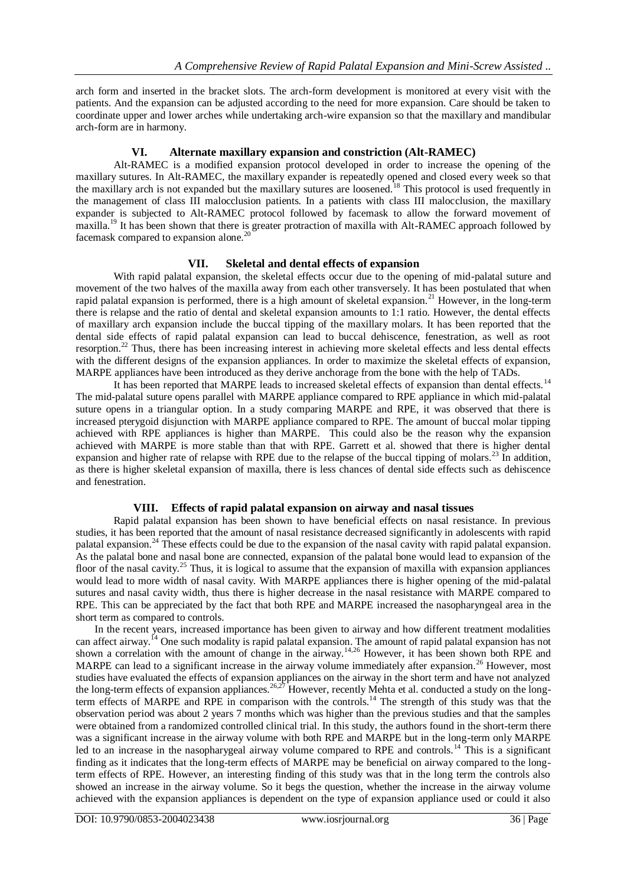arch form and inserted in the bracket slots. The arch-form development is monitored at every visit with the patients. And the expansion can be adjusted according to the need for more expansion. Care should be taken to coordinate upper and lower arches while undertaking arch-wire expansion so that the maxillary and mandibular arch-form are in harmony.

## **VI. Alternate maxillary expansion and constriction (Alt-RAMEC)**

Alt-RAMEC is a modified expansion protocol developed in order to increase the opening of the maxillary sutures. In Alt-RAMEC, the maxillary expander is repeatedly opened and closed every week so that the maxillary arch is not expanded but the maxillary sutures are loosened.<sup>18</sup> This protocol is used frequently in the management of class III malocclusion patients. In a patients with class III malocclusion, the maxillary expander is subjected to Alt-RAMEC protocol followed by facemask to allow the forward movement of maxilla.<sup>19</sup> It has been shown that there is greater protraction of maxilla with Alt-RAMEC approach followed by facemask compared to expansion alone.

### **VII. Skeletal and dental effects of expansion**

With rapid palatal expansion, the skeletal effects occur due to the opening of mid-palatal suture and movement of the two halves of the maxilla away from each other transversely. It has been postulated that when rapid palatal expansion is performed, there is a high amount of skeletal expansion.<sup>21</sup> However, in the long-term there is relapse and the ratio of dental and skeletal expansion amounts to 1:1 ratio. However, the dental effects of maxillary arch expansion include the buccal tipping of the maxillary molars. It has been reported that the dental side effects of rapid palatal expansion can lead to buccal dehiscence, fenestration, as well as root resorption.<sup>22</sup> Thus, there has been increasing interest in achieving more skeletal effects and less dental effects with the different designs of the expansion appliances. In order to maximize the skeletal effects of expansion, MARPE appliances have been introduced as they derive anchorage from the bone with the help of TADs.

It has been reported that MARPE leads to increased skeletal effects of expansion than dental effects.<sup>14</sup> The mid-palatal suture opens parallel with MARPE appliance compared to RPE appliance in which mid-palatal suture opens in a triangular option. In a study comparing MARPE and RPE, it was observed that there is increased pterygoid disjunction with MARPE appliance compared to RPE. The amount of buccal molar tipping achieved with RPE appliances is higher than MARPE. This could also be the reason why the expansion achieved with MARPE is more stable than that with RPE. Garrett et al. showed that there is higher dental expansion and higher rate of relapse with RPE due to the relapse of the buccal tipping of molars.<sup>23</sup> In addition, as there is higher skeletal expansion of maxilla, there is less chances of dental side effects such as dehiscence and fenestration.

#### **VIII. Effects of rapid palatal expansion on airway and nasal tissues**

Rapid palatal expansion has been shown to have beneficial effects on nasal resistance. In previous studies, it has been reported that the amount of nasal resistance decreased significantly in adolescents with rapid palatal expansion.<sup>24</sup> These effects could be due to the expansion of the nasal cavity with rapid palatal expansion. As the palatal bone and nasal bone are connected, expansion of the palatal bone would lead to expansion of the floor of the nasal cavity.<sup>25</sup> Thus, it is logical to assume that the expansion of maxilla with expansion appliances would lead to more width of nasal cavity. With MARPE appliances there is higher opening of the mid-palatal sutures and nasal cavity width, thus there is higher decrease in the nasal resistance with MARPE compared to RPE. This can be appreciated by the fact that both RPE and MARPE increased the nasopharyngeal area in the short term as compared to controls.

In the recent years, increased importance has been given to airway and how different treatment modalities can affect airway.<sup>14</sup> One such modality is rapid palatal expansion. The amount of rapid palatal expansion has not shown a correlation with the amount of change in the airway.<sup>14,26</sup> However, it has been shown both RPE and MARPE can lead to a significant increase in the airway volume immediately after expansion.<sup>26</sup> However, most studies have evaluated the effects of expansion appliances on the airway in the short term and have not analyzed the long-term effects of expansion appliances.<sup>26,27</sup> However, recently Mehta et al. conducted a study on the longterm effects of MARPE and RPE in comparison with the controls.<sup>14</sup> The strength of this study was that the observation period was about 2 years 7 months which was higher than the previous studies and that the samples were obtained from a randomized controlled clinical trial. In this study, the authors found in the short-term there was a significant increase in the airway volume with both RPE and MARPE but in the long-term only MARPE led to an increase in the nasopharygeal airway volume compared to RPE and controls.<sup>14</sup> This is a significant finding as it indicates that the long-term effects of MARPE may be beneficial on airway compared to the longterm effects of RPE. However, an interesting finding of this study was that in the long term the controls also showed an increase in the airway volume. So it begs the question, whether the increase in the airway volume achieved with the expansion appliances is dependent on the type of expansion appliance used or could it also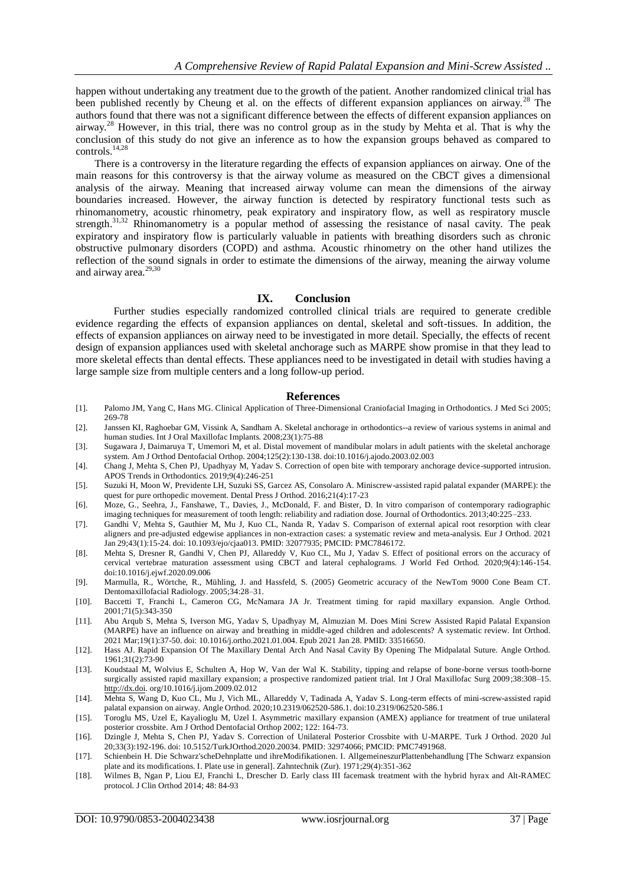happen without undertaking any treatment due to the growth of the patient. Another randomized clinical trial has been published recently by Cheung et al. on the effects of different expansion appliances on airway.<sup>28</sup> The authors found that there was not a significant difference between the effects of different expansion appliances on airway.<sup>28</sup> However, in this trial, there was no control group as in the study by Mehta et al. That is why the conclusion of this study do not give an inference as to how the expansion groups behaved as compared to controls.14,28

There is a controversy in the literature regarding the effects of expansion appliances on airway. One of the main reasons for this controversy is that the airway volume as measured on the CBCT gives a dimensional analysis of the airway. Meaning that increased airway volume can mean the dimensions of the airway boundaries increased. However, the airway function is detected by respiratory functional tests such as rhinomanometry, acoustic rhinometry, peak expiratory and inspiratory flow, as well as respiratory muscle strength.<sup>31,32</sup> Rhinomanometry is a popular method of assessing the resistance of nasal cavity. The peak expiratory and inspiratory flow is particularly valuable in patients with breathing disorders such as chronic obstructive pulmonary disorders (COPD) and asthma. Acoustic rhinometry on the other hand utilizes the reflection of the sound signals in order to estimate the dimensions of the airway, meaning the airway volume and airway area.<sup>29,30</sup>

#### **IX. Conclusion**

Further studies especially randomized controlled clinical trials are required to generate credible evidence regarding the effects of expansion appliances on dental, skeletal and soft-tissues. In addition, the effects of expansion appliances on airway need to be investigated in more detail. Specially, the effects of recent design of expansion appliances used with skeletal anchorage such as MARPE show promise in that they lead to more skeletal effects than dental effects. These appliances need to be investigated in detail with studies having a large sample size from multiple centers and a long follow-up period.

#### **References**

- [1]. Palomo JM, Yang C, Hans MG. Clinical Application of Three-Dimensional Craniofacial Imaging in Orthodontics. J Med Sci 2005; 269-78
- [2]. Janssen KI, Raghoebar GM, Vissink A, Sandham A. Skeletal anchorage in orthodontics--a review of various systems in animal and human studies. Int J Oral Maxillofac Implants. 2008;23(1):75-88
- [3]. Sugawara J, Daimaruya T, Umemori M, et al. Distal movement of mandibular molars in adult patients with the skeletal anchorage system. Am J Orthod Dentofacial Orthop. 2004;125(2):130-138. doi:10.1016/j.ajodo.2003.02.003
- [4]. Chang J, Mehta S, Chen PJ, Upadhyay M, Yadav S. Correction of open bite with temporary anchorage device-supported intrusion. APOS Trends in Orthodontics. 2019;9(4):246-251
- [5]. Suzuki H, Moon W, Previdente LH, Suzuki SS, Garcez AS, Consolaro A. Miniscrew-assisted rapid palatal expander (MARPE): the quest for pure orthopedic movement. Dental Press J Orthod. 2016;21(4):17-23
- [6]. Moze, G., Seehra, J., Fanshawe, T., Davies, J., McDonald, F. and Bister, D. In vitro comparison of contemporary radiographic imaging techniques for measurement of tooth length: reliability and radiation dose. Journal of Orthodontics. 2013;40:225–233.
- [7]. Gandhi V, Mehta S, Gauthier M, Mu J, Kuo CL, Nanda R, Yadav S. Comparison of external apical root resorption with clear aligners and pre-adjusted edgewise appliances in non-extraction cases: a systematic review and meta-analysis. Eur J Orthod. 2021 Jan 29;43(1):15-24. doi: 10.1093/ejo/cjaa013. PMID: 32077935; PMCID: PMC7846172.
- [8]. Mehta S, Dresner R, Gandhi V, Chen PJ, Allareddy V, Kuo CL, Mu J, Yadav S. Effect of positional errors on the accuracy of cervical vertebrae maturation assessment using CBCT and lateral cephalograms. J World Fed Orthod. 2020;9(4):146-154. doi:10.1016/j.ejwf.2020.09.006
- [9]. Marmulla, R., Wörtche, R., Mühling, J. and Hassfeld, S. (2005) Geometric accuracy of the NewTom 9000 Cone Beam CT. Dentomaxillofacial Radiology. 2005;34:28–31.
- [10]. Baccetti T, Franchi L, Cameron CG, McNamara JA Jr. Treatment timing for rapid maxillary expansion. Angle Orthod. 2001;71(5):343-350
- [11]. Abu Arqub S, Mehta S, Iverson MG, Yadav S, Upadhyay M, Almuzian M. Does Mini Screw Assisted Rapid Palatal Expansion (MARPE) have an influence on airway and breathing in middle-aged children and adolescents? A systematic review. Int Orthod. 2021 Mar;19(1):37-50. doi: 10.1016/j.ortho.2021.01.004. Epub 2021 Jan 28. PMID: 33516650.
- [12]. Hass AJ. Rapid Expansion Of The Maxillary Dental Arch And Nasal Cavity By Opening The Midpalatal Suture. Angle Orthod. 1961;31(2):73-90
- [13]. Koudstaal M, Wolvius E, Schulten A, Hop W, Van der Wal K. Stability, tipping and relapse of bone-borne versus tooth-borne surgically assisted rapid maxillary expansion; a prospective randomized patient trial. Int J Oral Maxillofac Surg 2009;38:308–15. [http://dx.doi.](http://dx.doi/) org/10.1016/j.ijom.2009.02.012
- [14]. Mehta S, Wang D, Kuo CL, Mu J, Vich ML, Allareddy V, Tadinada A, Yadav S. Long-term effects of mini-screw-assisted rapid palatal expansion on airway. Angle Orthod. 2020;10.2319/062520-586.1. doi:10.2319/062520-586.1
- [15]. Toroglu MS, Uzel E, Kayalioglu M, Uzel I. Asymmetric maxillary expansion (AMEX) appliance for treatment of true unilateral posterior crossbite. Am J Orthod Dentofacial Orthop 2002; 122: 164-73.
- [16]. Dzingle J, Mehta S, Chen PJ, Yadav S. Correction of Unilateral Posterior Crossbite with U-MARPE. Turk J Orthod. 2020 Jul 20;33(3):192-196. doi: 10.5152/TurkJOrthod.2020.20034. PMID: 32974066; PMCID: PMC7491968.
- [17]. Schienbein H. Die Schwarz'scheDehnplatte und ihreModifikationen. I. AllgemeineszurPlattenbehandlung [The Schwarz expansion plate and its modifications. I. Plate use in general]. Zahntechnik (Zur). 1971;29(4):351-362
- [18]. Wilmes B, Ngan P, Liou EJ, Franchi L, Drescher D. Early class III facemask treatment with the hybrid hyrax and Alt-RAMEC protocol. J Clin Orthod 2014; 48: 84-93